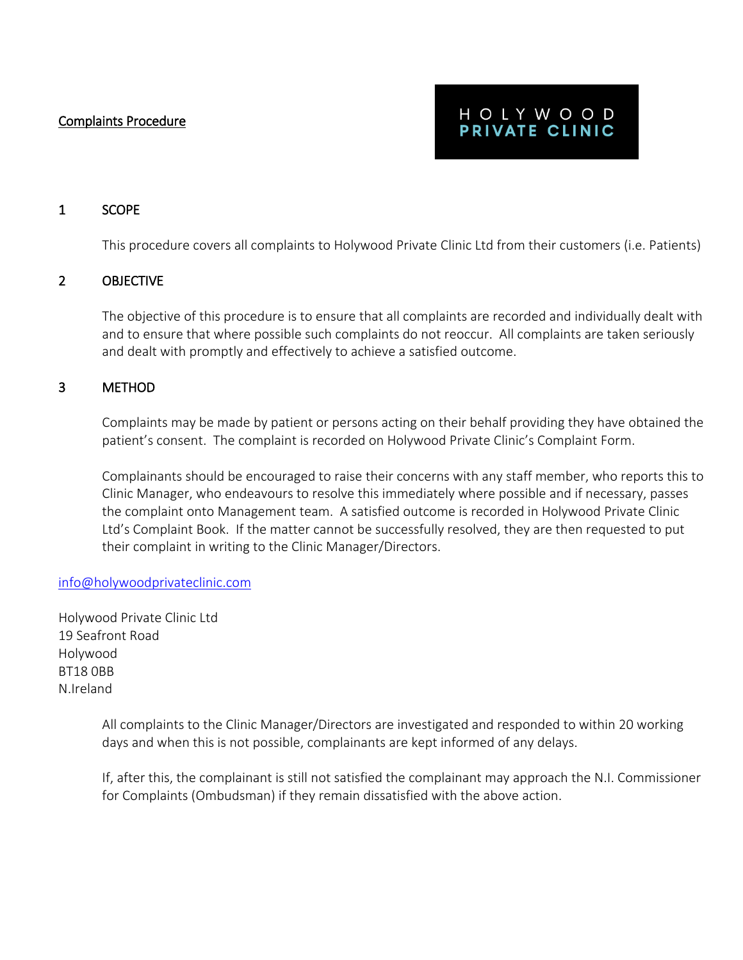Complaints Procedure

# HOLYWOOD PRIVATE CLINIC

## 1 SCOPE

This procedure covers all complaints to Holywood Private Clinic Ltd from their customers (i.e. Patients)

## 2 OBJECTIVE

The objective of this procedure is to ensure that all complaints are recorded and individually dealt with and to ensure that where possible such complaints do not reoccur. All complaints are taken seriously and dealt with promptly and effectively to achieve a satisfied outcome.

## 3 METHOD

Complaints may be made by patient or persons acting on their behalf providing they have obtained the patient's consent. The complaint is recorded on Holywood Private Clinic's Complaint Form.

Complainants should be encouraged to raise their concerns with any staff member, who reports this to Clinic Manager, who endeavours to resolve this immediately where possible and if necessary, passes the complaint onto Management team. A satisfied outcome is recorded in Holywood Private Clinic Ltd's Complaint Book. If the matter cannot be successfully resolved, they are then requested to put their complaint in writing to the Clinic Manager/Directors.

#### [info@holywoodprivateclinic.com](mailto:info@holywoodprivateclinic.com)

Holywood Private Clinic Ltd 19 Seafront Road Holywood BT18 0BB N.Ireland

> All complaints to the Clinic Manager/Directors are investigated and responded to within 20 working days and when this is not possible, complainants are kept informed of any delays.

If, after this, the complainant is still not satisfied the complainant may approach the N.I. Commissioner for Complaints (Ombudsman) if they remain dissatisfied with the above action.